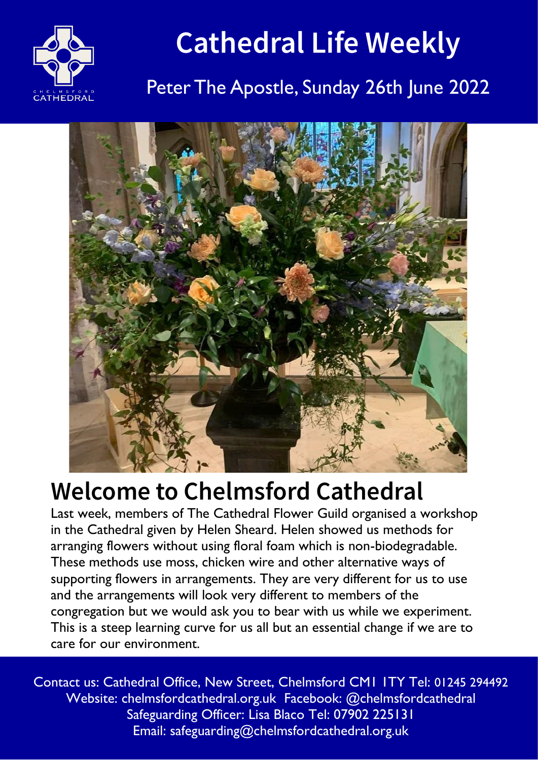

# **Cathedral Life Weekly**

# Peter The Apostle, Sunday 26th June 2022



# **Welcome to Chelmsford Cathedral**

Last week, members of The Cathedral Flower Guild organised a workshop in the Cathedral given by Helen Sheard. Helen showed us methods for arranging flowers without using floral foam which is non-biodegradable. These methods use moss, chicken wire and other alternative ways of supporting flowers in arrangements. They are very different for us to use and the arrangements will look very different to members of the congregation but we would ask you to bear with us while we experiment. This is a steep learning curve for us all but an essential change if we are to care for our environment.

Contact us: Cathedral Office, New Street, Chelmsford CM1 1TY Tel: 01245 294492 Website: chelmsfordcathedral.org.uk Facebook: @chelmsfordcathedral Safeguarding Officer: Lisa Blaco Tel: 07902 225131 Email: safeguarding@chelmsfordcathedral.org.uk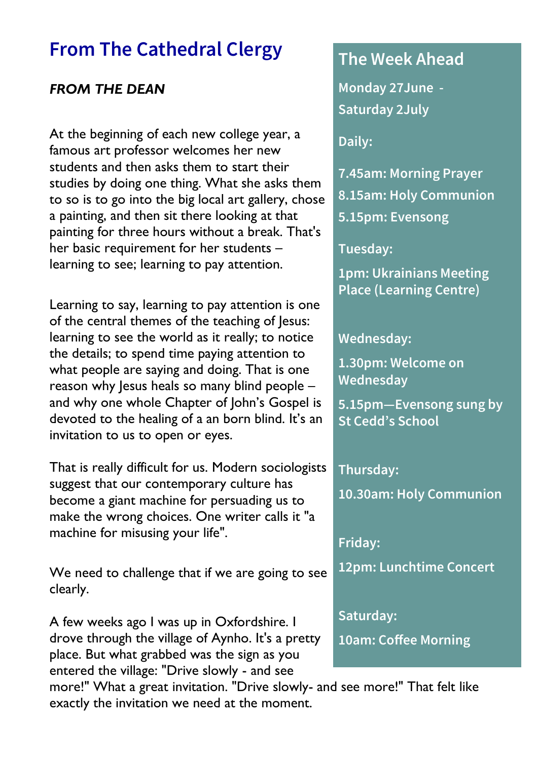## **From The Cathedral Clergy**

### *FROM THE DEAN*

At the beginning of each new college year, a famous art professor welcomes her new students and then asks them to start their studies by doing one thing. What she asks them to so is to go into the big local art gallery, chose a painting, and then sit there looking at that painting for three hours without a break. That's her basic requirement for her students – learning to see; learning to pay attention.

Learning to say, learning to pay attention is one of the central themes of the teaching of Jesus: learning to see the world as it really; to notice the details; to spend time paying attention to what people are saying and doing. That is one reason why lesus heals so many blind people and why one whole Chapter of John's Gospel is devoted to the healing of a an born blind. It's an invitation to us to open or eyes.

That is really difficult for us. Modern sociologists suggest that our contemporary culture has become a giant machine for persuading us to make the wrong choices. One writer calls it "a machine for misusing your life".

We need to challenge that if we are going to see clearly.

A few weeks ago I was up in Oxfordshire. I drove through the village of Aynho. It's a pretty place. But what grabbed was the sign as you entered the village: "Drive slowly - and see

### **The Week Ahead**

**Monday 27June - Saturday 2July**

**Daily:**

- **7.45am: Morning Prayer**
- **8.15am: Holy Communion**
- **5.15pm: Evensong**

**Tuesday:**

**1pm: Ukrainians Meeting Place (Learning Centre)**

**Wednesday:**

**1.30pm: Welcome on Wednesday** 

**5.15pm—Evensong sung by St Cedd's School**

**Thursday: 10.30am: Holy Communion**

**Friday:**

**12pm: Lunchtime Concert** 

**Saturday:**

**10am: Coffee Morning** 

more!" What a great invitation. "Drive slowly- and see more!" That felt like exactly the invitation we need at the moment.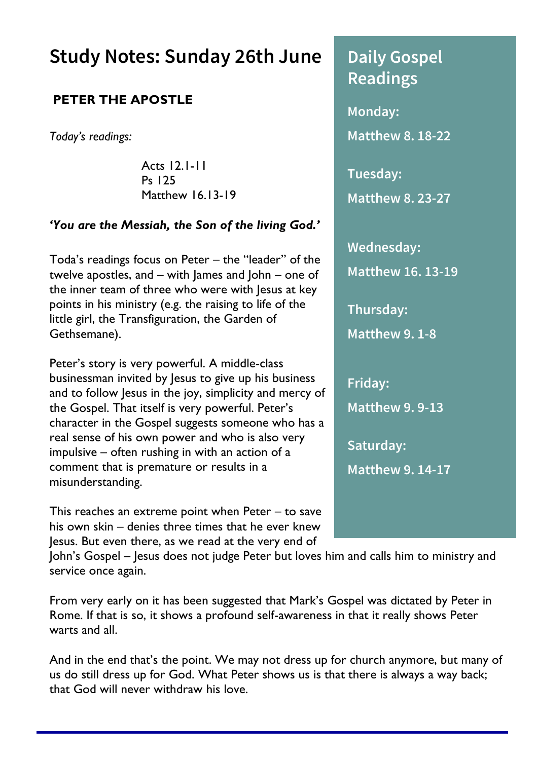### **Study Notes: Sunday 26th June**

#### **PETER THE APOSTLE**

*Today's readings:*

Acts 12.1-11 Ps 125 Matthew 16.13-19

#### *'You are the Messiah, the Son of the living God.'*

Toda's readings focus on Peter – the "leader" of the twelve apostles, and – with James and John – one of the inner team of three who were with Jesus at key points in his ministry (e.g. the raising to life of the little girl, the Transfiguration, the Garden of Gethsemane).

Peter's story is very powerful. A middle-class businessman invited by Jesus to give up his business and to follow Jesus in the joy, simplicity and mercy of the Gospel. That itself is very powerful. Peter's character in the Gospel suggests someone who has a real sense of his own power and who is also very impulsive – often rushing in with an action of a comment that is premature or results in a misunderstanding.

This reaches an extreme point when Peter – to save his own skin – denies three times that he ever knew Jesus. But even there, as we read at the very end of

**Readings Monday: Matthew 8. 18-22 Tuesday: Matthew 8. 23-27 Wednesday: Matthew 16. 13-19 Thursday: Matthew 9. 1-8 Friday: Matthew 9. 9-13 Saturday: Matthew 9. 14-17**

**Daily Gospel** 

John's Gospel – Jesus does not judge Peter but loves him and calls him to ministry and service once again.

From very early on it has been suggested that Mark's Gospel was dictated by Peter in Rome. If that is so, it shows a profound self-awareness in that it really shows Peter warts and all.

And in the end that's the point. We may not dress up for church anymore, but many of us do still dress up for God. What Peter shows us is that there is always a way back; that God will never withdraw his love.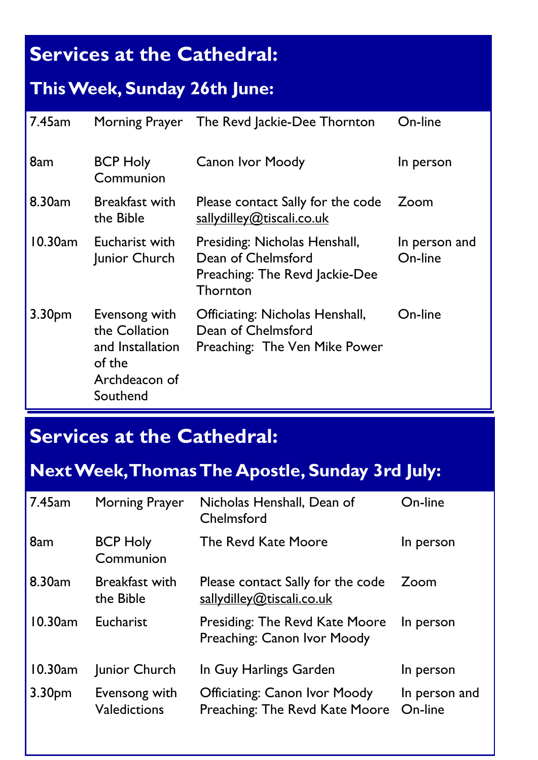# **Services at the Cathedral:**

### **This Week, Sunday 26th June:**

| $7.45$ am          | Morning Prayer                                                                            | The Revd Jackie-Dee Thornton                                                                      | On-line                  |
|--------------------|-------------------------------------------------------------------------------------------|---------------------------------------------------------------------------------------------------|--------------------------|
| 8am                | <b>BCP Holy</b><br>Communion                                                              | Canon Ivor Moody                                                                                  | In person                |
| 8.30 <sub>am</sub> | Breakfast with<br>the Bible                                                               | Please contact Sally for the code<br>sallydilley@tiscali.co.uk                                    | Zoom                     |
| $10.30$ am         | Eucharist with<br>Junior Church                                                           | Presiding: Nicholas Henshall,<br>Dean of Chelmsford<br>Preaching: The Revd Jackie-Dee<br>Thornton | In person and<br>On-line |
| 3.30 <sub>pm</sub> | Evensong with<br>the Collation<br>and Installation<br>of the<br>Archdeacon of<br>Southend | Officiating: Nicholas Henshall,<br>Dean of Chelmsford<br>Preaching: The Ven Mike Power            | On-line                  |

# **Services at the Cathedral:**

# **Next Week, Thomas The Apostle, Sunday 3rd July:**

| 7.45am             | Morning Prayer                     | Nicholas Henshall, Dean of<br>Chelmsford                        | On-line                  |
|--------------------|------------------------------------|-----------------------------------------------------------------|--------------------------|
| 8am                | <b>BCP Holy</b><br>Communion       | The Revd Kate Moore                                             | In person                |
| 8.30 <sub>am</sub> | <b>Breakfast with</b><br>the Bible | Please contact Sally for the code<br>sallydilley@tiscali.co.uk  | Zoom                     |
| 10.30am            | Eucharist                          | Presiding: The Revd Kate Moore<br>Preaching: Canon Ivor Moody   | In person                |
| 10.30am            | Junior Church                      | In Guy Harlings Garden                                          | In person                |
| 3.30pm             | Evensong with<br>Valedictions      | Officiating: Canon Ivor Moody<br>Preaching: The Revd Kate Moore | In person and<br>On-line |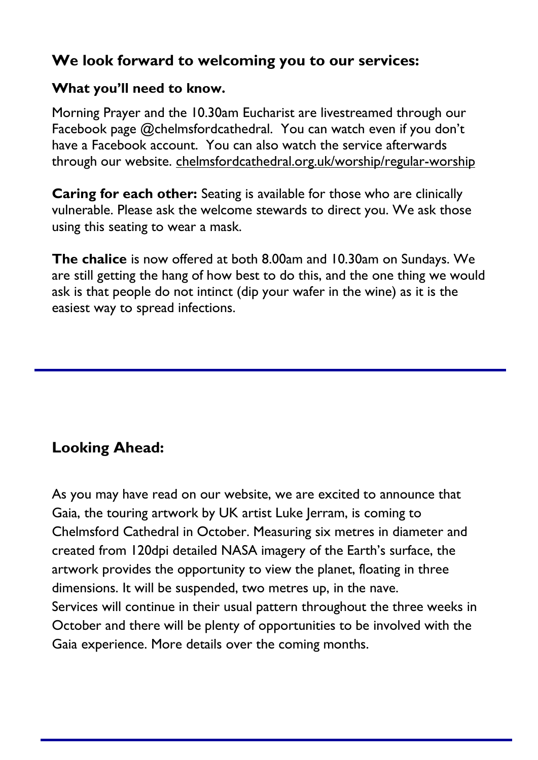### **We look forward to welcoming you to our services:**

#### **What you'll need to know.**

Morning Prayer and the 10.30am Eucharist are livestreamed through our Facebook page @chelmsfordcathedral. You can watch even if you don't have a Facebook account. You can also watch the service afterwards through our website. [chelmsfordcathedral.org.uk/worship/regular-worship](https://www.chelmsfordcathedral.org.uk/worship/regular-worship)

**Caring for each other:** Seating is available for those who are clinically vulnerable. Please ask the welcome stewards to direct you. We ask those using this seating to wear a mask.

**The chalice** is now offered at both 8.00am and 10.30am on Sundays. We are still getting the hang of how best to do this, and the one thing we would ask is that people do not intinct (dip your wafer in the wine) as it is the easiest way to spread infections.

### **Looking Ahead:**

As you may have read on our website, we are excited to announce that Gaia, the touring artwork by UK artist Luke Jerram, is coming to Chelmsford Cathedral in October. Measuring six metres in diameter and created from 120dpi detailed NASA imagery of the Earth's surface, the artwork provides the opportunity to view the planet, floating in three dimensions. It will be suspended, two metres up, in the nave. Services will continue in their usual pattern throughout the three weeks in October and there will be plenty of opportunities to be involved with the Gaia experience. More details over the coming months.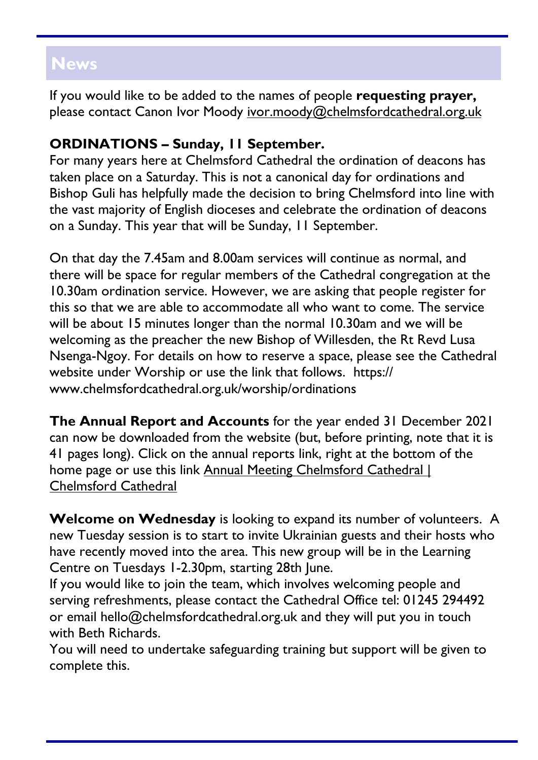### **News**

If you would like to be added to the names of people **requesting prayer,**  please contact Canon Ivor Moody [ivor.moody@chelmsfordcathedral.org.uk](mailto:ivor.moody@chelmsfordcathedral.org.uk)

### **ORDINATIONS – Sunday, 11 September.**

For many years here at Chelmsford Cathedral the ordination of deacons has taken place on a Saturday. This is not a canonical day for ordinations and Bishop Guli has helpfully made the decision to bring Chelmsford into line with the vast majority of English dioceses and celebrate the ordination of deacons on a Sunday. This year that will be Sunday, 11 September.

On that day the 7.45am and 8.00am services will continue as normal, and there will be space for regular members of the Cathedral congregation at the 10.30am ordination service. However, we are asking that people register for this so that we are able to accommodate all who want to come. The service will be about 15 minutes longer than the normal 10.30am and we will be welcoming as the preacher the new Bishop of Willesden, the Rt Revd Lusa Nsenga-Ngoy. For details on how to reserve a space, please see the Cathedral website under Worship or use the link that follows. https:// www.chelmsfordcathedral.org.uk/worship/ordinations

**The Annual Report and Accounts** for the year ended 31 December 2021 can now be downloaded from the website (but, before printing, note that it is 41 pages long). Click on the annual reports link, right at the bottom of the home page or use this link Annual Meeting Chelmsford Cathedral | [Chelmsford Cathedral](https://www.chelmsfordcathedral.org.uk/annual-meeting-2022)

**Welcome on Wednesday** is looking to expand its number of volunteers. A new Tuesday session is to start to invite Ukrainian guests and their hosts who have recently moved into the area. This new group will be in the Learning Centre on Tuesdays 1-2.30pm, starting 28th June.

If you would like to join the team, which involves welcoming people and serving refreshments, please contact the Cathedral Office tel: 01245 294492 or email hello@chelmsfordcathedral.org.uk and they will put you in touch with Beth Richards.

You will need to undertake safeguarding training but support will be given to complete this.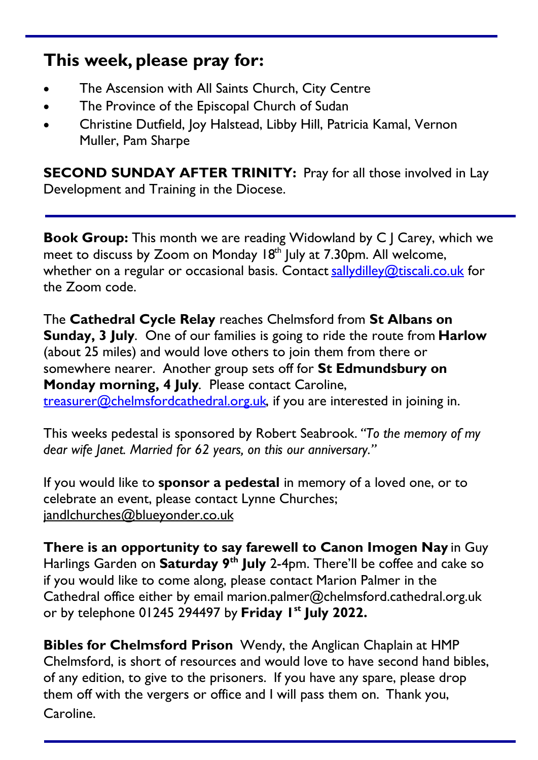### **This week, please pray for:**

- The Ascension with All Saints Church, City Centre
- The Province of the Episcopal Church of Sudan
- Christine Dutfield, Joy Halstead, Libby Hill, Patricia Kamal, Vernon Muller, Pam Sharpe

**SECOND SUNDAY AFTER TRINITY: Pray for all those involved in Lay** Development and Training in the Diocese.

**Book Group:** This month we are reading Widowland by C | Carey, which we meet to discuss by Zoom on Monday 18<sup>th</sup> July at 7.30pm. All welcome, whether on a regular or occasional basis. Contact [sallydilley@tiscali.co.uk](mailto:sallydilley@tiscali.co.uk) for the Zoom code.

The **Cathedral Cycle Relay** reaches Chelmsford from **St Albans on Sunday, 3 July**. One of our families is going to ride the route from **Harlow** (about 25 miles) and would love others to join them from there or somewhere nearer. Another group sets off for **St Edmundsbury on Monday morning, 4 July**. Please contact Caroline, [treasurer@chelmsfordcathedral.org.uk,](mailto:treasurer@chelmsfordcathedral.org.uk) if you are interested in joining in.

This weeks pedestal is sponsored by Robert Seabrook. *"To the memory of my dear wife Janet. Married for 62 years, on this our anniversary."*

If you would like to **sponsor a pedestal** in memory of a loved one, or to celebrate an event, please contact Lynne Churches; [jandlchurches@blueyonder.co.uk](mailto:jandlchurches@blueyonder.co.uk)

**There is an opportunity to say farewell to Canon Imogen Nay** in Guy Harlings Garden on **Saturday 9th July** 2-4pm. There'll be coffee and cake so if you would like to come along, please contact Marion Palmer in the Cathedral office either by email [marion.palmer@chelmsford.cathedral.org.uk](mailto:Marion.palmer@chelmsford.cathedral.org.uk) or by telephone 01245 294497 by **Friday 1st July 2022.**

**Bibles for Chelmsford Prison** Wendy, the Anglican Chaplain at HMP Chelmsford, is short of resources and would love to have second hand bibles, of any edition, to give to the prisoners. If you have any spare, please drop them off with the vergers or office and I will pass them on. Thank you, Caroline.